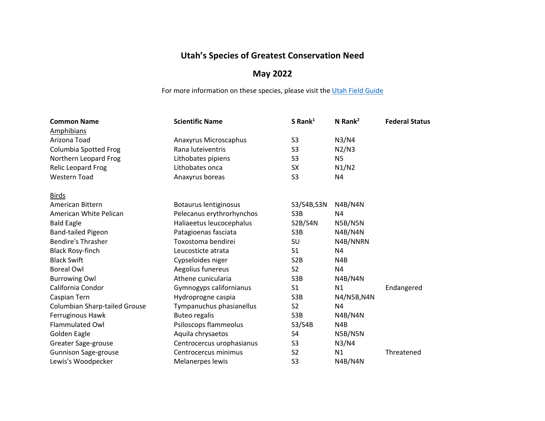## **Utah's Species of Greatest Conservation Need**

## **May 2022**

For more information on these species, please visit the [Utah Field Guide](https://fieldguide.wildlife.utah.gov/)

| <b>Common Name</b>            | <b>Scientific Name</b>    | S Rank $1$       | N Rank $^2$    | <b>Federal Status</b> |
|-------------------------------|---------------------------|------------------|----------------|-----------------------|
| <b>Amphibians</b>             |                           |                  |                |                       |
| Arizona Toad                  | Anaxyrus Microscaphus     | S <sub>3</sub>   | N3/N4          |                       |
| <b>Columbia Spotted Frog</b>  | Rana luteiventris         | S <sub>3</sub>   | N2/N3          |                       |
| Northern Leopard Frog         | Lithobates pipiens        | S3               | N <sub>5</sub> |                       |
| Relic Leopard Frog            | Lithobates onca           | <b>SX</b>        | N1/N2          |                       |
| <b>Western Toad</b>           | Anaxyrus boreas           | S <sub>3</sub>   | N4             |                       |
| <b>Birds</b>                  |                           |                  |                |                       |
| American Bittern              | Botaurus lentiginosus     | S3/S4B, S3N      | N4B/N4N        |                       |
| American White Pelican        | Pelecanus erythrorhynchos | S3B              | N4             |                       |
| <b>Bald Eagle</b>             | Haliaeetus leucocephalus  | S2B/S4N          | N5B/N5N        |                       |
| <b>Band-tailed Pigeon</b>     | Patagioenas fasciata      | S3B              | N4B/N4N        |                       |
| <b>Bendire's Thrasher</b>     | Toxostoma bendirei        | SU               | N4B/NNRN       |                       |
| <b>Black Rosy-finch</b>       | Leucosticte atrata        | S <sub>1</sub>   | N4             |                       |
| <b>Black Swift</b>            | Cypseloides niger         | S <sub>2</sub> B | N4B            |                       |
| <b>Boreal Owl</b>             | Aegolius funereus         | S <sub>2</sub>   | N4             |                       |
| <b>Burrowing Owl</b>          | Athene cunicularia        | S3B              | N4B/N4N        |                       |
| California Condor             | Gymnogyps californianus   | S <sub>1</sub>   | N1             | Endangered            |
| Caspian Tern                  | Hydroprogne caspia        | S3B              | N4/N5B, N4N    |                       |
| Columbian Sharp-tailed Grouse | Tympanuchus phasianellus  | S <sub>2</sub>   | N <sub>4</sub> |                       |
| Ferruginous Hawk              | <b>Buteo regalis</b>      | S3B              | N4B/N4N        |                       |
| <b>Flammulated Owl</b>        | Psiloscops flammeolus     | S3/S4B           | N4B            |                       |
| Golden Eagle                  | Aquila chrysaetos         | S <sub>4</sub>   | N5B/N5N        |                       |
| Greater Sage-grouse           | Centrocercus urophasianus | S <sub>3</sub>   | N3/N4          |                       |
| <b>Gunnison Sage-grouse</b>   | Centrocercus minimus      | S <sub>2</sub>   | N1             | Threatened            |
| Lewis's Woodpecker            | Melanerpes lewis          | S <sub>3</sub>   | N4B/N4N        |                       |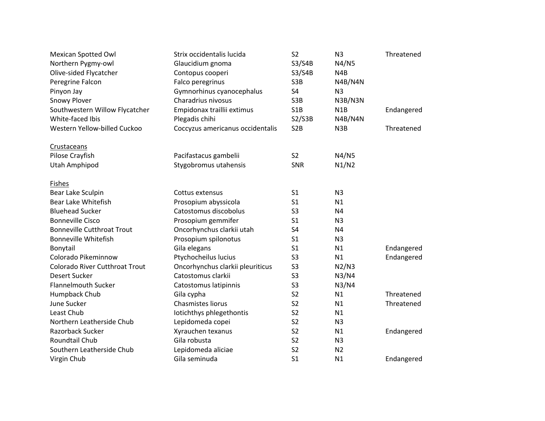| Mexican Spotted Owl                   | Strix occidentalis lucida        | S <sub>2</sub>   | N <sub>3</sub>   | Threatened |
|---------------------------------------|----------------------------------|------------------|------------------|------------|
| Northern Pygmy-owl                    | Glaucidium gnoma                 | S3/S4B           | N4/N5            |            |
| Olive-sided Flycatcher                | Contopus cooperi                 | S3/S4B           | N <sub>4</sub> B |            |
| Peregrine Falcon                      | Falco peregrinus                 | S3B              | N4B/N4N          |            |
| Pinyon Jay                            | Gymnorhinus cyanocephalus        | S4               | N <sub>3</sub>   |            |
| <b>Snowy Plover</b>                   | Charadrius nivosus               | S3B              | N3B/N3N          |            |
| Southwestern Willow Flycatcher        | Empidonax traillii extimus       | S1B              | N <sub>1</sub> B | Endangered |
| White-faced Ibis                      | Plegadis chihi                   | S2/S3B           | N4B/N4N          |            |
| Western Yellow-billed Cuckoo          | Coccyzus americanus occidentalis | S <sub>2</sub> B | N3B              | Threatened |
| Crustaceans                           |                                  |                  |                  |            |
| Pilose Crayfish                       | Pacifastacus gambelii            | S <sub>2</sub>   | N4/N5            |            |
| Utah Amphipod                         | Stygobromus utahensis            | <b>SNR</b>       | N1/N2            |            |
| Fishes                                |                                  |                  |                  |            |
| Bear Lake Sculpin                     | Cottus extensus                  | S <sub>1</sub>   | N <sub>3</sub>   |            |
| Bear Lake Whitefish                   | Prosopium abyssicola             | S <sub>1</sub>   | N1               |            |
| <b>Bluehead Sucker</b>                | Catostomus discobolus            | S <sub>3</sub>   | N4               |            |
| <b>Bonneville Cisco</b>               | Prosopium gemmifer               | S <sub>1</sub>   | N <sub>3</sub>   |            |
| <b>Bonneville Cutthroat Trout</b>     | Oncorhynchus clarkii utah        | S4               | N <sub>4</sub>   |            |
| <b>Bonneville Whitefish</b>           | Prosopium spilonotus             | S <sub>1</sub>   | N <sub>3</sub>   |            |
| Bonytail                              | Gila elegans                     | S <sub>1</sub>   | N1               | Endangered |
| Colorado Pikeminnow                   | Ptychocheilus lucius             | S <sub>3</sub>   | N1               | Endangered |
| <b>Colorado River Cutthroat Trout</b> | Oncorhynchus clarkii pleuriticus | S <sub>3</sub>   | N2/N3            |            |
| <b>Desert Sucker</b>                  | Catostomus clarkii               | S <sub>3</sub>   | N3/N4            |            |
| <b>Flannelmouth Sucker</b>            | Catostomus latipinnis            | S <sub>3</sub>   | N3/N4            |            |
| Humpback Chub                         | Gila cypha                       | S <sub>2</sub>   | N1               | Threatened |
| June Sucker                           | Chasmistes liorus                | S <sub>2</sub>   | N1               | Threatened |
| Least Chub                            | Iotichthys phlegethontis         | S <sub>2</sub>   | N1               |            |
| Northern Leatherside Chub             | Lepidomeda copei                 | S <sub>2</sub>   | N <sub>3</sub>   |            |
| Razorback Sucker                      | Xyrauchen texanus                | S <sub>2</sub>   | N1               | Endangered |
| Roundtail Chub                        | Gila robusta                     | S <sub>2</sub>   | N <sub>3</sub>   |            |
| Southern Leatherside Chub             | Lepidomeda aliciae               | S <sub>2</sub>   | N <sub>2</sub>   |            |
| Virgin Chub                           | Gila seminuda                    | S <sub>1</sub>   | N1               | Endangered |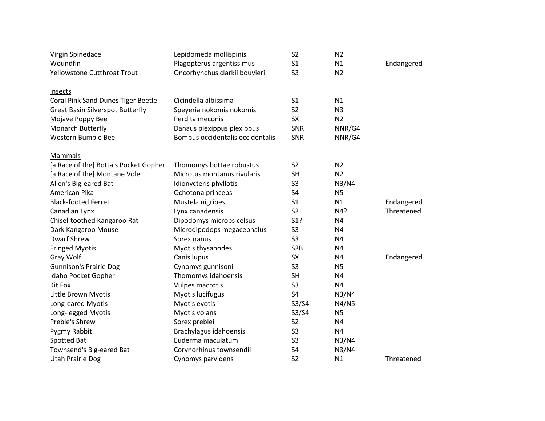| Virgin Spinedace                        | Lepidomeda mollispinis           | S <sub>2</sub>   | N <sub>2</sub> |            |
|-----------------------------------------|----------------------------------|------------------|----------------|------------|
| Woundfin                                | Plagopterus argentissimus        | S <sub>1</sub>   | N1             | Endangered |
| <b>Yellowstone Cutthroat Trout</b>      | Oncorhynchus clarkii bouvieri    | S <sub>3</sub>   | N <sub>2</sub> |            |
| <b>Insects</b>                          |                                  |                  |                |            |
| Coral Pink Sand Dunes Tiger Beetle      | Cicindella albissima             | S <sub>1</sub>   | N1             |            |
| <b>Great Basin Silverspot Butterfly</b> | Speyeria nokomis nokomis         | S <sub>2</sub>   | N <sub>3</sub> |            |
| Mojave Poppy Bee                        | Perdita meconis                  | SX               | N <sub>2</sub> |            |
| Monarch Butterfly                       | Danaus plexippus plexippus       | <b>SNR</b>       | NNR/G4         |            |
| Western Bumble Bee                      | Bombus occidentalis occidentalis | SNR              | NNR/G4         |            |
| Mammals                                 |                                  |                  |                |            |
| [a Race of the] Botta's Pocket Gopher   | Thomomys bottae robustus         | S <sub>2</sub>   | N <sub>2</sub> |            |
| [a Race of the] Montane Vole            | Microtus montanus rivularis      | <b>SH</b>        | N <sub>2</sub> |            |
| Allen's Big-eared Bat                   | Idionycteris phyllotis           | S <sub>3</sub>   | N3/N4          |            |
| American Pika                           | Ochotona princeps                | S <sub>4</sub>   | N <sub>5</sub> |            |
| <b>Black-footed Ferret</b>              | Mustela nigripes                 | S <sub>1</sub>   | N1             | Endangered |
| Canadian Lynx                           | Lynx canadensis                  | S <sub>2</sub>   | N4?            | Threatened |
| Chisel-toothed Kangaroo Rat             | Dipodomys microps celsus         | S <sub>1</sub> ? | N4             |            |
| Dark Kangaroo Mouse                     | Microdipodops megacephalus       | S <sub>3</sub>   | N <sub>4</sub> |            |
| <b>Dwarf Shrew</b>                      | Sorex nanus                      | S <sub>3</sub>   | N4             |            |
| <b>Fringed Myotis</b>                   | Myotis thysanodes                | S <sub>2</sub> B | N4             |            |
| Gray Wolf                               | Canis lupus                      | <b>SX</b>        | N4             | Endangered |
| <b>Gunnison's Prairie Dog</b>           | Cynomys gunnisoni                | S <sub>3</sub>   | N <sub>5</sub> |            |
| Idaho Pocket Gopher                     | Thomomys idahoensis              | <b>SH</b>        | N <sub>4</sub> |            |
| Kit Fox                                 | Vulpes macrotis                  | S <sub>3</sub>   | N <sub>4</sub> |            |
| Little Brown Myotis                     | Myotis lucifugus                 | S4               | N3/N4          |            |
| Long-eared Myotis                       | Myotis evotis                    | S3/S4            | N4/N5          |            |
| Long-legged Myotis                      | Myotis volans                    | S3/S4            | <b>N5</b>      |            |
| Preble's Shrew                          | Sorex preblei                    | S <sub>2</sub>   | N4             |            |
| Pygmy Rabbit                            | Brachylagus idahoensis           | S <sub>3</sub>   | N4             |            |
| Spotted Bat                             | Euderma maculatum                | S <sub>3</sub>   | N3/N4          |            |
| Townsend's Big-eared Bat                | Corynorhinus townsendii          | S <sub>4</sub>   | N3/N4          |            |
| <b>Utah Prairie Dog</b>                 | Cynomys parvidens                | S <sub>2</sub>   | N1             | Threatened |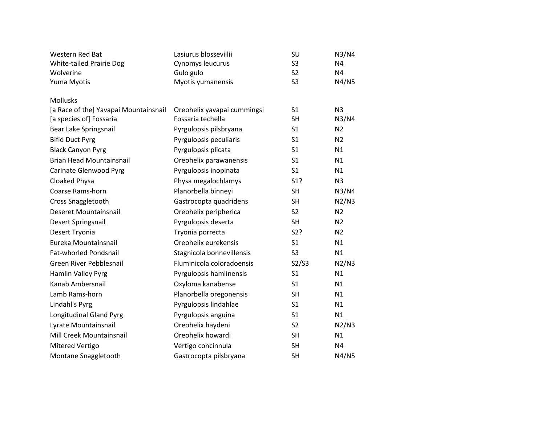| Western Red Bat                       | Lasiurus blossevillii       | SU             | N3/N4          |
|---------------------------------------|-----------------------------|----------------|----------------|
| White-tailed Prairie Dog              | Cynomys leucurus            | S <sub>3</sub> | N <sub>4</sub> |
| Wolverine                             | Gulo gulo                   | S <sub>2</sub> | N <sub>4</sub> |
| Yuma Myotis                           | Myotis yumanensis           | S <sub>3</sub> | N4/N5          |
| Mollusks                              |                             |                |                |
| [a Race of the] Yavapai Mountainsnail | Oreohelix yavapai cummingsi | S <sub>1</sub> | N <sub>3</sub> |
| [a species of] Fossaria               | Fossaria techella           | <b>SH</b>      | N3/N4          |
| Bear Lake Springsnail                 | Pyrgulopsis pilsbryana      | S <sub>1</sub> | N <sub>2</sub> |
| <b>Bifid Duct Pyrg</b>                | Pyrgulopsis peculiaris      | S <sub>1</sub> | N <sub>2</sub> |
| <b>Black Canyon Pyrg</b>              | Pyrgulopsis plicata         | S <sub>1</sub> | N1             |
| <b>Brian Head Mountainsnail</b>       | Oreohelix parawanensis      | S <sub>1</sub> | N1             |
| Carinate Glenwood Pyrg                | Pyrgulopsis inopinata       | S <sub>1</sub> | N1             |
| Cloaked Physa                         | Physa megalochlamys         | S1?            | N <sub>3</sub> |
| Coarse Rams-horn                      | Planorbella binneyi         | <b>SH</b>      | N3/N4          |
| Cross Snaggletooth                    | Gastrocopta quadridens      | <b>SH</b>      | N2/N3          |
| <b>Deseret Mountainsnail</b>          | Oreohelix peripherica       | S <sub>2</sub> | N <sub>2</sub> |
| Desert Springsnail                    | Pyrgulopsis deserta         | <b>SH</b>      | N <sub>2</sub> |
| Desert Tryonia                        | Tryonia porrecta            | S2?            | N <sub>2</sub> |
| Eureka Mountainsnail                  | Oreohelix eurekensis        | S <sub>1</sub> | N1             |
| Fat-whorled Pondsnail                 | Stagnicola bonnevillensis   | S <sub>3</sub> | N1             |
| Green River Pebblesnail               | Fluminicola coloradoensis   | S2/S3          | N2/N3          |
| Hamlin Valley Pyrg                    | Pyrgulopsis hamlinensis     | S <sub>1</sub> | N1             |
| Kanab Ambersnail                      | Oxyloma kanabense           | S <sub>1</sub> | N1             |
| Lamb Rams-horn                        | Planorbella oregonensis     | <b>SH</b>      | N1             |
| Lindahl's Pyrg                        | Pyrgulopsis lindahlae       | S <sub>1</sub> | N1             |
| Longitudinal Gland Pyrg               | Pyrgulopsis anguina         | S <sub>1</sub> | N1             |
| Lyrate Mountainsnail                  | Oreohelix haydeni           | S <sub>2</sub> | N2/N3          |
| Mill Creek Mountainsnail              | Oreohelix howardi           | <b>SH</b>      | N1             |
| Mitered Vertigo                       | Vertigo concinnula          | <b>SH</b>      | N <sub>4</sub> |
| Montane Snaggletooth                  | Gastrocopta pilsbryana      | <b>SH</b>      | N4/N5          |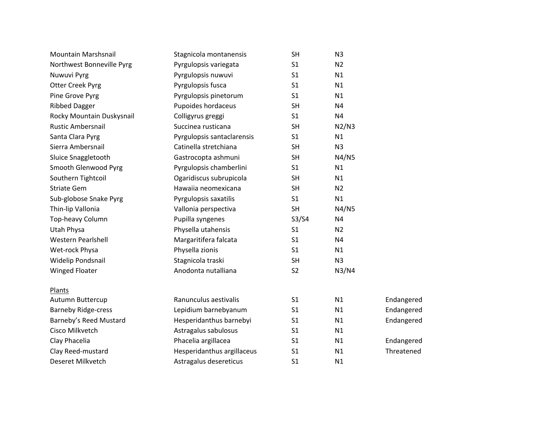| Mountain Marshsnail        | Stagnicola montanensis     | <b>SH</b>      | N <sub>3</sub> |            |  |
|----------------------------|----------------------------|----------------|----------------|------------|--|
| Northwest Bonneville Pyrg  | Pyrgulopsis variegata      | S <sub>1</sub> | N <sub>2</sub> |            |  |
| Nuwuvi Pyrg                | Pyrgulopsis nuwuvi         | S <sub>1</sub> | N1             |            |  |
| <b>Otter Creek Pyrg</b>    | Pyrgulopsis fusca          | S <sub>1</sub> | N1             |            |  |
| Pine Grove Pyrg            | Pyrgulopsis pinetorum      | S <sub>1</sub> | N1             |            |  |
| <b>Ribbed Dagger</b>       | Pupoides hordaceus         | <b>SH</b>      | N4             |            |  |
| Rocky Mountain Duskysnail  | Colligyrus greggi          | S <sub>1</sub> | N <sub>4</sub> |            |  |
| <b>Rustic Ambersnail</b>   | Succinea rusticana         | <b>SH</b>      | N2/N3          |            |  |
| Santa Clara Pyrg           | Pyrgulopsis santaclarensis | S <sub>1</sub> | N1             |            |  |
| Sierra Ambersnail          | Catinella stretchiana      | <b>SH</b>      | N <sub>3</sub> |            |  |
| Sluice Snaggletooth        | Gastrocopta ashmuni        | <b>SH</b>      | N4/N5          |            |  |
| Smooth Glenwood Pyrg       | Pyrgulopsis chamberlini    | S <sub>1</sub> | N1             |            |  |
| Southern Tightcoil         | Ogaridiscus subrupicola    | <b>SH</b>      | N1             |            |  |
| <b>Striate Gem</b>         | Hawaiia neomexicana        | <b>SH</b>      | N <sub>2</sub> |            |  |
| Sub-globose Snake Pyrg     | Pyrgulopsis saxatilis      | S <sub>1</sub> | N1             |            |  |
| Thin-lip Vallonia          | Vallonia perspectiva       | <b>SH</b>      | N4/N5          |            |  |
| Top-heavy Column           | Pupilla syngenes           | S3/S4          | N <sub>4</sub> |            |  |
| <b>Utah Physa</b>          | Physella utahensis         | S <sub>1</sub> | N <sub>2</sub> |            |  |
| <b>Western Pearlshell</b>  | Margaritifera falcata      | S <sub>1</sub> | N <sub>4</sub> |            |  |
| Wet-rock Physa             | Physella zionis            | S <sub>1</sub> | N1             |            |  |
| Widelip Pondsnail          | Stagnicola traski          | <b>SH</b>      | N <sub>3</sub> |            |  |
| <b>Winged Floater</b>      | Anodonta nutalliana        | S <sub>2</sub> | N3/N4          |            |  |
| Plants                     |                            |                |                |            |  |
| Autumn Buttercup           | Ranunculus aestivalis      | S <sub>1</sub> | N1             | Endangered |  |
| <b>Barneby Ridge-cress</b> | Lepidium barnebyanum       | S <sub>1</sub> | N1             | Endangered |  |
| Barneby's Reed Mustard     | Hesperidanthus barnebyi    | S <sub>1</sub> | N1             | Endangered |  |
| Cisco Milkvetch            | Astragalus sabulosus       | S1             | N1             |            |  |
| Clay Phacelia              | Phacelia argillacea        | S <sub>1</sub> | N1             | Endangered |  |
| Clay Reed-mustard          | Hesperidanthus argillaceus | S <sub>1</sub> | N1             | Threatened |  |
| Deseret Milkvetch          | Astragalus desereticus     | S <sub>1</sub> | N1             |            |  |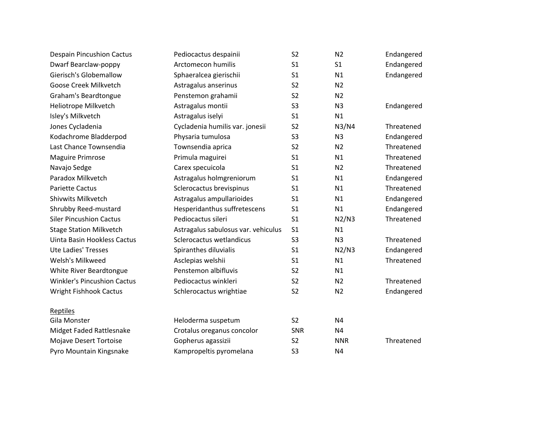| <b>Despain Pincushion Cactus</b>   | Pediocactus despainii               | S <sub>2</sub> | N <sub>2</sub> | Endangered |
|------------------------------------|-------------------------------------|----------------|----------------|------------|
| Dwarf Bearclaw-poppy               | Arctomecon humilis                  | S <sub>1</sub> | S <sub>1</sub> | Endangered |
| Gierisch's Globemallow             | Sphaeralcea gierischii              | S <sub>1</sub> | N1             | Endangered |
| Goose Creek Milkvetch              | Astragalus anserinus                | S <sub>2</sub> | N <sub>2</sub> |            |
| Graham's Beardtongue               | Penstemon grahamii                  | S <sub>2</sub> | N <sub>2</sub> |            |
| Heliotrope Milkvetch               | Astragalus montii                   | S <sub>3</sub> | N <sub>3</sub> | Endangered |
| Isley's Milkvetch                  | Astragalus iselyi                   | S <sub>1</sub> | N1             |            |
| Jones Cycladenia                   | Cycladenia humilis var. jonesii     | S <sub>2</sub> | N3/N4          | Threatened |
| Kodachrome Bladderpod              | Physaria tumulosa                   | S <sub>3</sub> | N <sub>3</sub> | Endangered |
| Last Chance Townsendia             | Townsendia aprica                   | S <sub>2</sub> | N <sub>2</sub> | Threatened |
| <b>Maguire Primrose</b>            | Primula maguirei                    | S <sub>1</sub> | N1             | Threatened |
| Navajo Sedge                       | Carex specuicola                    | S <sub>1</sub> | N <sub>2</sub> | Threatened |
| Paradox Milkvetch                  | Astragalus holmgreniorum            | S <sub>1</sub> | N1             | Endangered |
| <b>Pariette Cactus</b>             | Sclerocactus brevispinus            | S <sub>1</sub> | N1             | Threatened |
| <b>Shivwits Milkvetch</b>          | Astragalus ampullarioides           | S <sub>1</sub> | N1             | Endangered |
| Shrubby Reed-mustard               | Hesperidanthus suffretescens        | S <sub>1</sub> | N1             | Endangered |
| <b>Siler Pincushion Cactus</b>     | Pediocactus sileri                  | S <sub>1</sub> | N2/N3          | Threatened |
| <b>Stage Station Milkvetch</b>     | Astragalus sabulosus var. vehiculus | S <sub>1</sub> | N1             |            |
| Uinta Basin Hookless Cactus        | Sclerocactus wetlandicus            | S <sub>3</sub> | N <sub>3</sub> | Threatened |
| <b>Ute Ladies' Tresses</b>         | Spiranthes diluvialis               | S <sub>1</sub> | N2/N3          | Endangered |
| Welsh's Milkweed                   | Asclepias welshii                   | S <sub>1</sub> | N1             | Threatened |
| White River Beardtongue            | Penstemon albifluvis                | S <sub>2</sub> | N1             |            |
| <b>Winkler's Pincushion Cactus</b> | Pediocactus winkleri                | S <sub>2</sub> | N <sub>2</sub> | Threatened |
| <b>Wright Fishhook Cactus</b>      | Schlerocactus wrightiae             | S <sub>2</sub> | N <sub>2</sub> | Endangered |
| Reptiles                           |                                     |                |                |            |
| Gila Monster                       | Heloderma suspetum                  | S <sub>2</sub> | N <sub>4</sub> |            |
| Midget Faded Rattlesnake           | Crotalus oreganus concolor          | SNR            | N <sub>4</sub> |            |
| <b>Mojave Desert Tortoise</b>      | Gopherus agassizii                  | S <sub>2</sub> | <b>NNR</b>     | Threatened |
| Pyro Mountain Kingsnake            | Kampropeltis pyromelana             | S <sub>3</sub> | N <sub>4</sub> |            |
|                                    |                                     |                |                |            |